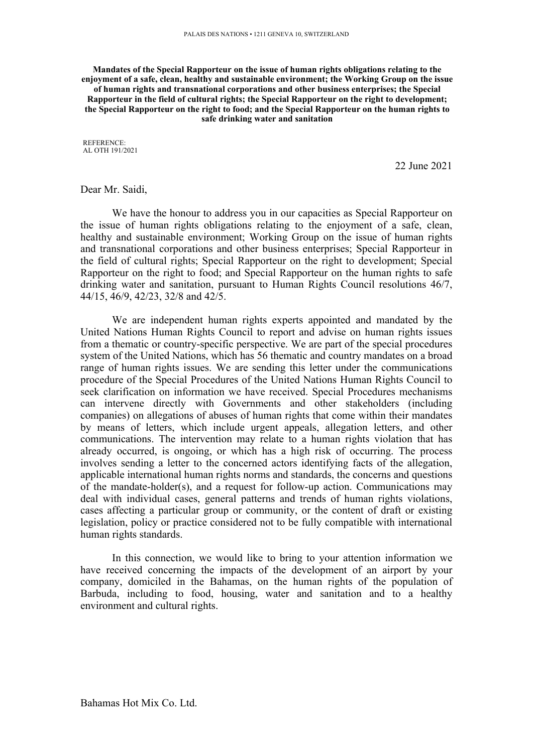**Mandates of the Special Rapporteur on the issue of human rights obligations relating to the enjoyment of <sup>a</sup> safe, clean, healthy and sustainable environment; the Working Group on the issue of human rights and transnational corporations and other business enterprises; the Special Rapporteur in the field of cultural rights; the Special Rapporteur on the right to development; the Special Rapporteur on the right to food; and the Special Rapporteur on the human rights to safe drinking water and sanitation**

REFERENCE: AL OTH 191/2021

22 June 2021

### Dear Mr. Saidi,

We have the honour to address you in our capacities as Special Rapporteur on the issue of human rights obligations relating to the enjoyment of <sup>a</sup> safe, clean, healthy and sustainable environment; Working Group on the issue of human rights and transnational corporations and other business enterprises; Special Rapporteur in the field of cultural rights; Special Rapporteur on the right to development; Special Rapporteur on the right to food; and Special Rapporteur on the human rights to safe drinking water and sanitation, pursuan<sup>t</sup> to Human Rights Council resolutions 46/7, 44/15, 46/9, 42/23, 32/8 and 42/5.

We are independent human rights experts appointed and mandated by the United Nations Human Rights Council to repor<sup>t</sup> and advise on human rights issues from <sup>a</sup> thematic or country-specific perspective. We are par<sup>t</sup> of the special procedures system of the United Nations, which has 56 thematic and country mandates on <sup>a</sup> broad range of human rights issues. We are sending this letter under the communications procedure of the Special Procedures of the United Nations Human Rights Council to seek clarification on information we have received. Special Procedures mechanisms can intervene directly with Governments and other stakeholders (including companies) on allegations of abuses of human rights that come within their mandates by means of letters, which include urgen<sup>t</sup> appeals, allegation letters, and other communications. The intervention may relate to <sup>a</sup> human rights violation that has already occurred, is ongoing, or which has <sup>a</sup> high risk of occurring. The process involves sending <sup>a</sup> letter to the concerned actors identifying facts of the allegation, applicable international human rights norms and standards, the concerns and questions of the mandate-holder(s), and <sup>a</sup> reques<sup>t</sup> for follow-up action. Communications may deal with individual cases, general patterns and trends of human rights violations, cases affecting <sup>a</sup> particular group or community, or the content of draft or existing legislation, policy or practice considered not to be fully compatible with international human rights standards.

In this connection, we would like to bring to your attention information we have received concerning the impacts of the development of an airport by your company, domiciled in the Bahamas, on the human rights of the population of Barbuda, including to food, housing, water and sanitation and to <sup>a</sup> healthy environment and cultural rights.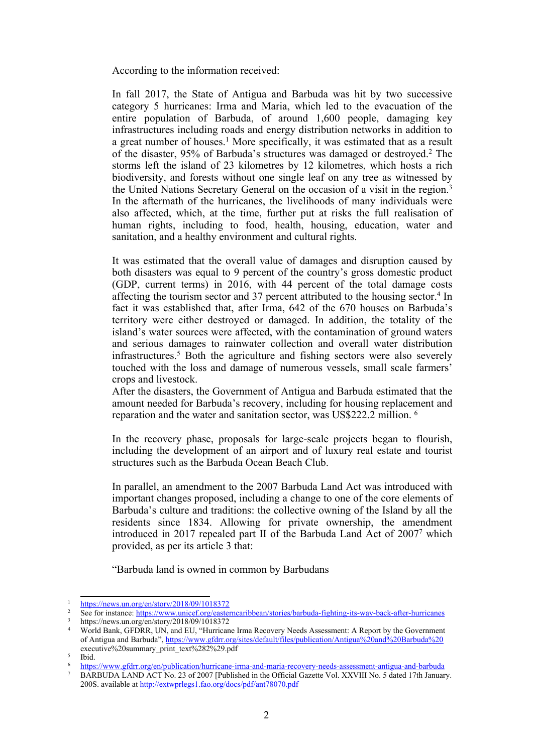According to the information received:

In fall 2017, the State of Antigua and Barbuda was hit by two successive category 5 hurricanes: Irma and Maria, which led to the evacuation of the entire population of Barbuda, of around 1,600 people, damaging key infrastructures including roads and energy distribution networks in addition to <sup>a</sup> grea<sup>t</sup> number of houses. <sup>1</sup> More specifically, it was estimated that as <sup>a</sup> result of the disaster, 95% of Barbuda'<sup>s</sup> structures was damaged or destroyed. 2 The storms left the island of 23 kilometres by 12 kilometres, which hosts <sup>a</sup> rich biodiversity, and forests without one single leaf on any tree as witnessed by the United Nations Secretary General on the occasion of <sup>a</sup> visit in the region. 3 In the aftermath of the hurricanes, the livelihoods of many individuals were also affected, which, at the time, further pu<sup>t</sup> at risks the full realisation of human rights, including to food, health, housing, education, water and sanitation, and <sup>a</sup> healthy environment and cultural rights.

It was estimated that the overall value of damages and disruption caused by both disasters was equal to 9 percen<sup>t</sup> of the country'<sup>s</sup> gross domestic product (GDP, current terms) in 2016, with 44 percen<sup>t</sup> of the total damage costs affecting the tourism sector and 37 percen<sup>t</sup> attributed to the housing sector. 4 In fact it was established that, after Irma, 642 of the 670 houses on Barbuda'<sup>s</sup> territory were either destroyed or damaged. In addition, the totality of the island'<sup>s</sup> water sources were affected, with the contamination of ground waters and serious damages to rainwater collection and overall water distribution infrastructures. <sup>5</sup> Both the agriculture and fishing sectors were also severely touched with the loss and damage of numerous vessels, small scale farmers' crops and livestock.

After the disasters, the Government of Antigua and Barbuda estimated that the amount needed for Barbuda'<sup>s</sup> recovery, including for housing replacement and reparation and the water and sanitation sector, was US\$222.2 million. 6

In the recovery phase, proposals for large-scale projects began to flourish, including the development of an airport and of luxury real estate and tourist structures such as the Barbuda Ocean Beach Club.

In parallel, an amendment to the 2007 Barbuda Land Act was introduced with important changes proposed, including <sup>a</sup> change to one of the core elements of Barbuda'<sup>s</sup> culture and traditions: the collective owning of the Island by all the residents since 1834. Allowing for private ownership, the amendment introduced in 2017 repealed par<sup>t</sup> II of the Barbuda Land Act of 2007<sup>7</sup> which provided, as per its article 3 that:

"Barbuda land is owned in common by Barbudans

<sup>1</sup> <https://news.un.org/en/story/2018/09/1018372>

<sup>2</sup> See for instance: <https://www.unicef.org/easterncaribbean/stories/barbuda-fighting-its-way-back-after-hurricanes>

<sup>3</sup> https://news.un.org/en/story/2018/09/1018372

<sup>4</sup> World Bank, GFDRR, UN, and EU, "Hurricane Irma Recovery Needs Assessment: <sup>A</sup> Report by the Government of Antigua and Barbuda", [https://www.gfdrr.org/sites/default/files/publication/Antigua%20and%20Barbuda%20](https://www.gfdrr.org/sites/default/files/publication/Antigua%20and%20Barbuda) executive%20summary\_print\_text%282%29.pdf

<sup>&</sup>lt;sup>5</sup> Ibid.

<sup>6</sup> <https://www.gfdrr.org/en/publication/hurricane-irma-and-maria-recovery-needs-assessment-antigua-and-barbuda>

<sup>&</sup>lt;sup>7</sup> BARBUDA LAND ACT No. 23 of 2007 [Published in the Official Gazette Vol. XXVIII No. 5 dated 17th January. 200S. available at <http://extwprlegs1.fao.org/docs/pdf/ant78070.pdf>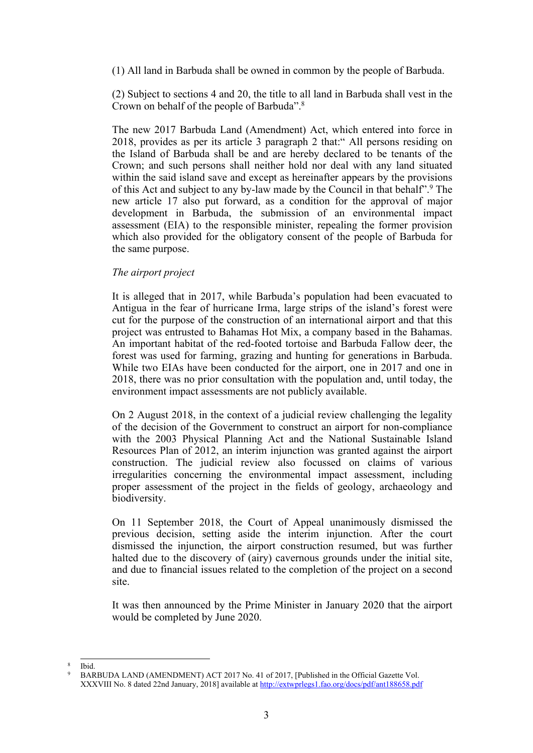(1) All land in Barbuda shall be owned in common by the people of Barbuda.

(2) Subject to sections 4 and 20, the title to all land in Barbuda shall vest in the Crown on behalf of the people of Barbuda". 8

The new 2017 Barbuda Land (Amendment) Act, which entered into force in 2018, provides as per its article 3 paragraph 2 that:" All persons residing on the Island of Barbuda shall be and are hereby declared to be tenants of the Crown; and such persons shall neither hold nor deal with any land situated within the said island save and excep<sup>t</sup> as hereinafter appears by the provisions of this Act and subject to any by-law made by the Council in that behalf". 9 The new article 17 also pu<sup>t</sup> forward, as <sup>a</sup> condition for the approval of major development in Barbuda, the submission of an environmental impact assessment (EIA) to the responsible minister, repealing the former provision which also provided for the obligatory consent of the people of Barbuda for the same purpose.

# *The airport project*

It is alleged that in 2017, while Barbuda'<sup>s</sup> population had been evacuated to Antigua in the fear of hurricane Irma, large strips of the island'<sup>s</sup> forest were cut for the purpose of the construction of an international airport and that this project was entrusted to Bahamas Hot Mix, <sup>a</sup> company based in the Bahamas. An important habitat of the red-footed tortoise and Barbuda Fallow deer, the forest was used for farming, grazing and hunting for generations in Barbuda. While two EIAs have been conducted for the airport, one in 2017 and one in 2018, there was no prior consultation with the population and, until today, the environment impact assessments are not publicly available.

On 2 August 2018, in the context of <sup>a</sup> judicial review challenging the legality of the decision of the Government to construct an airport for non-compliance with the 2003 Physical Planning Act and the National Sustainable Island Resources Plan of 2012, an interim injunction was granted against the airport construction. The judicial review also focussed on claims of various irregularities concerning the environmental impact assessment, including proper assessment of the project in the fields of geology, archaeology and biodiversity.

On 11 September 2018, the Court of Appeal unanimously dismissed the previous decision, setting aside the interim injunction. After the court dismissed the injunction, the airport construction resumed, but was further halted due to the discovery of (airy) cavernous grounds under the initial site, and due to financial issues related to the completion of the project on <sup>a</sup> second site.

It was then announced by the Prime Minister in January 2020 that the airport would be completed by June 2020.

<sup>8</sup> Ibid.

<sup>9</sup> BARBUDA LAND (AMENDMENT) ACT 2017 No. 41 of 2017, [Published in the Official Gazette Vol. XXXVIII No. 8 dated 22nd January, 2018] available at <http://extwprlegs1.fao.org/docs/pdf/ant188658.pdf>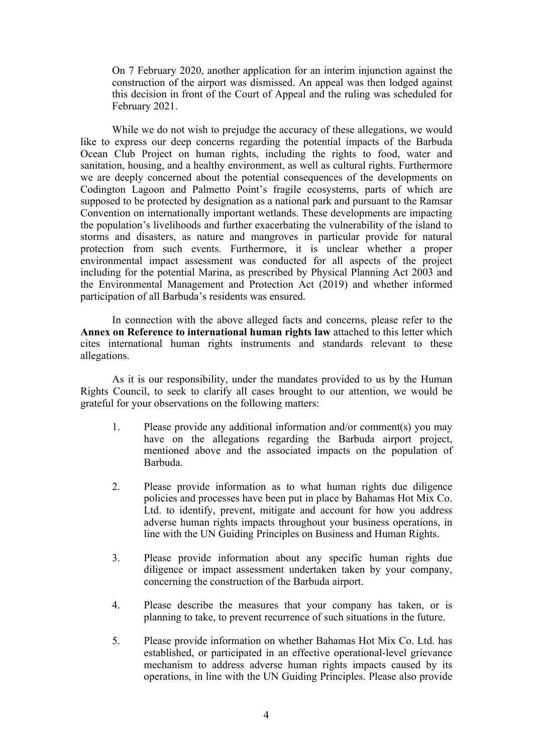On 7 February 2020, another application for an interim injunction against the construction of the airport was dismissed. An appeal was then lodged against this decision in front of the Court of Appeal and the ruling was scheduled for February 2021.

While we do not wish to prejudge the accuracy of these allegations, we would like to express our deep concerns regarding the potential impacts of the Barbuda Ocean Club Project on human rights, including the rights to food, water and sanitation, housing, and <sup>a</sup> healthy environment, as well as cultural rights. Furthermore we are deeply concerned about the potential consequences of the developments on Codington Lagoon and Palmetto Point'<sup>s</sup> fragile ecosystems, parts of which are supposed to be protected by designation as <sup>a</sup> national park and pursuan<sup>t</sup> to the Ramsar Convention on internationally important wetlands. These developments are impacting the population'<sup>s</sup> livelihoods and further exacerbating the vulnerability of the island to storms and disasters, as nature and mangroves in particular provide for natural protection from such events. Furthermore, it is unclear whether <sup>a</sup> proper environmental impact assessment was conducted for all aspects of the project including for the potential Marina, as prescribed by Physical Planning Act 2003 and the Environmental Management and Protection Act (2019) and whether informed participation of all Barbuda'<sup>s</sup> residents was ensured.

In connection with the above alleged facts and concerns, please refer to the **Annex on Reference to international human rights law** attached to this letter which cites international human rights instruments and standards relevant to these allegations.

As it is our responsibility, under the mandates provided to us by the Human Rights Council, to seek to clarify all cases brought to our attention, we would be grateful for your observations on the following matters:

- 1. Please provide any additional information and/or comment(s) you may have on the allegations regarding the Barbuda airport project, mentioned above and the associated impacts on the population of Barbuda.
- 2. Please provide information as to what human rights due diligence policies and processes have been pu<sup>t</sup> in place by Bahamas Hot Mix Co. Ltd. to identify, prevent, mitigate and account for how you address adverse human rights impacts throughout your business operations, in line with the UN Guiding Principles on Business and Human Rights.
- 3. Please provide information about any specific human rights due diligence or impact assessment undertaken taken by your company, concerning the construction of the Barbuda airport.
- 4. Please describe the measures that your company has taken, or is planning to take, to preven<sup>t</sup> recurrence of such situations in the future.
- 5. Please provide information on whether Bahamas Hot Mix Co. Ltd. has established, or participated in an effective operational-level grievance mechanism to address adverse human rights impacts caused by its operations, in line with the UN Guiding Principles. Please also provide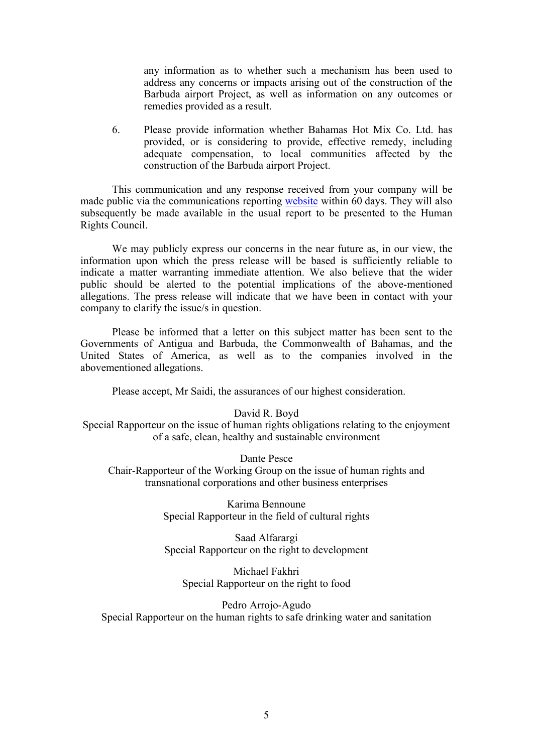any information as to whether such <sup>a</sup> mechanism has been used to address any concerns or impacts arising out of the construction of the Barbuda airport Project, as well as information on any outcomes or remedies provided as <sup>a</sup> result.

6. Please provide information whether Bahamas Hot Mix Co. Ltd. has provided, or is considering to provide, effective remedy, including adequate compensation, to local communities affected by the construction of the Barbuda airport Project.

This communication and any response received from your company will be made public via the communications reporting [website](https://spcommreports.ohchr.org/) within 60 days. They will also subsequently be made available in the usual repor<sup>t</sup> to be presented to the Human Rights Council.

We may publicly express our concerns in the near future as, in our view, the information upon which the press release will be based is sufficiently reliable to indicate <sup>a</sup> matter warranting immediate attention. We also believe that the wider public should be alerted to the potential implications of the above-mentioned allegations. The press release will indicate that we have been in contact with your company to clarify the issue/s in question.

Please be informed that <sup>a</sup> letter on this subject matter has been sent to the Governments of Antigua and Barbuda, the Commonwealth of Bahamas, and the United States of America, as well as to the companies involved in the abovementioned allegations.

Please accept, Mr Saidi, the assurances of our highest consideration.

### David R. Boyd

Special Rapporteur on the issue of human rights obligations relating to the enjoyment of <sup>a</sup> safe, clean, healthy and sustainable environment

Dante Pesce

Chair-Rapporteur of the Working Group on the issue of human rights and transnational corporations and other business enterprises

> Karima Bennoune Special Rapporteur in the field of cultural rights

> Saad Alfarargi Special Rapporteur on the right to development

Michael Fakhri Special Rapporteur on the right to food

Pedro Arrojo-Agudo Special Rapporteur on the human rights to safe drinking water and sanitation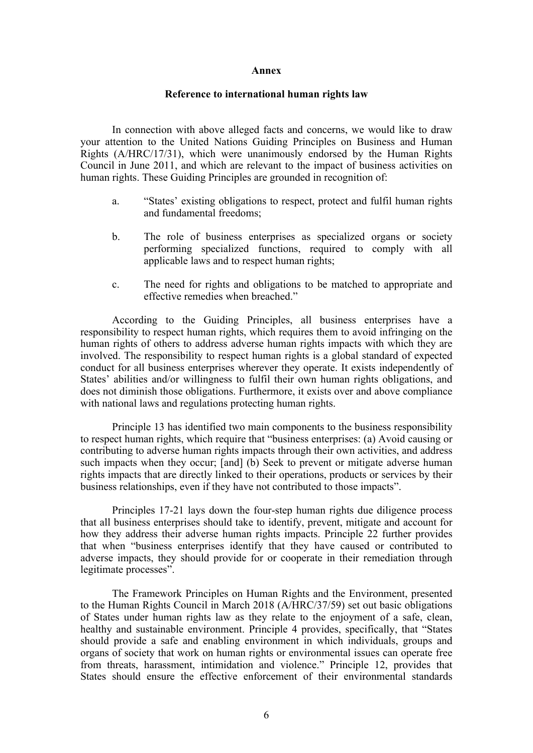### **Annex**

## **Reference to international human rights law**

In connection with above alleged facts and concerns, we would like to draw your attention to the United Nations Guiding Principles on Business and Human Rights (A/HRC/17/31), which were unanimously endorsed by the Human Rights Council in June 2011, and which are relevant to the impact of business activities on human rights. These Guiding Principles are grounded in recognition of:

- a. "States' existing obligations to respect, protect and fulfil human rights and fundamental freedoms;
- b. The role of business enterprises as specialized organs or society performing specialized functions, required to comply with all applicable laws and to respec<sup>t</sup> human rights;
- c. The need for rights and obligations to be matched to appropriate and effective remedies when breached."

According to the Guiding Principles, all business enterprises have <sup>a</sup> responsibility to respec<sup>t</sup> human rights, which requires them to avoid infringing on the human rights of others to address adverse human rights impacts with which they are involved. The responsibility to respec<sup>t</sup> human rights is <sup>a</sup> global standard of expected conduct for all business enterprises wherever they operate. It exists independently of States' abilities and/or willingness to fulfil their own human rights obligations, and does not diminish those obligations. Furthermore, it exists over and above compliance with national laws and regulations protecting human rights.

Principle 13 has identified two main components to the business responsibility to respec<sup>t</sup> human rights, which require that "business enterprises: (a) Avoid causing or contributing to adverse human rights impacts through their own activities, and address such impacts when they occur; [and] (b) Seek to preven<sup>t</sup> or mitigate adverse human rights impacts that are directly linked to their operations, products or services by their business relationships, even if they have not contributed to those impacts".

Principles 17-21 lays down the four-step human rights due diligence process that all business enterprises should take to identify, prevent, mitigate and account for how they address their adverse human rights impacts. Principle 22 further provides that when "business enterprises identify that they have caused or contributed to adverse impacts, they should provide for or cooperate in their remediation through legitimate processes".

The Framework Principles on Human Rights and the Environment, presented to the Human Rights Council in March 2018 (A/HRC/37/59) set out basic obligations of States under human rights law as they relate to the enjoyment of <sup>a</sup> safe, clean, healthy and sustainable environment. Principle 4 provides, specifically, that "States should provide <sup>a</sup> safe and enabling environment in which individuals, groups and organs of society that work on human rights or environmental issues can operate free from threats, harassment, intimidation and violence." Principle 12, provides that States should ensure the effective enforcement of their environmental standards